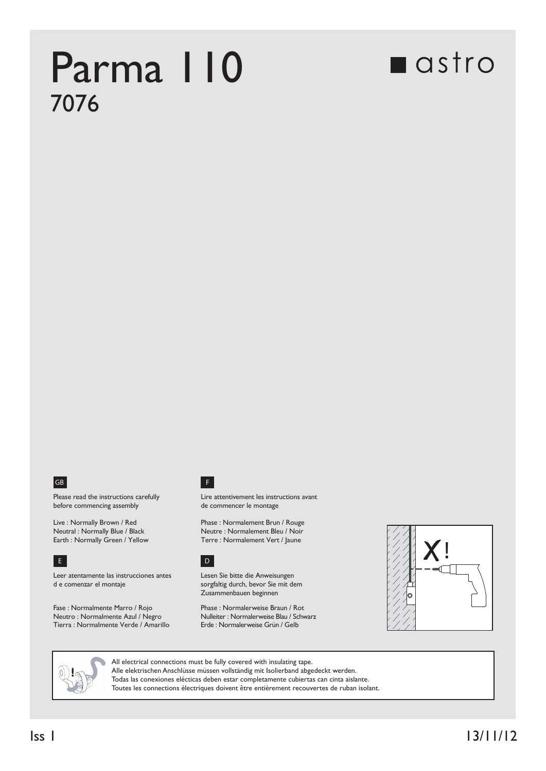## Parma 110 7076

## **n**astro



Please read the instructions carefully before commencing assembly

Live : Normally Brown / Red Neutral : Normally Blue / Black<br>Earth : Normally Green / Yellow



Leer atentamente las instrucciones antes d e comenzar el montaje

Fase : Normalmente Marro / Rojo Neutro : Normalmente Azul / Negro Tierra : Normalmente Verde / Amarillo



Lire attentivement les instructions avant de commencer le montage

Phase : Normalement Brun / Rouge Neutre : Normalement Bleu / Noir Terre : Normalement Vert / Jaune

## E D

Lesen Sie bitte die Anweisungen sorgfaltig durch, bevor Sie mit dem Zusammenbauen beginnen

Phase : Normalerweise Braun / Rot Nulleiter : Normalerweise Blau / Schwarz<br>Erde : Normalerweise Grün / Gelb





All electrical connections must be fully covered with insulating tape. Alle elektrischen Anschlüsse müssen vollständig mit Isolierband abgedeckt werden. Todas las conexiones elécticas deben estar completamente cubiertas can cinta aislante. Toutes les connections électriques doivent être entièrement recouvertes de ruban isolant.